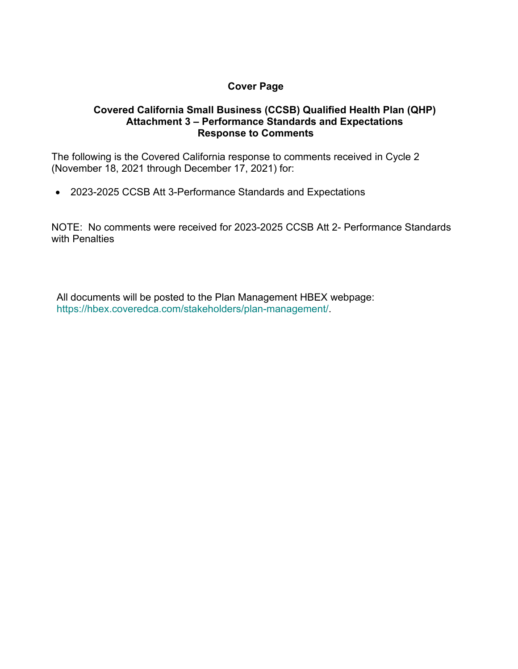## **Cover Page**

## **Covered California Small Business (CCSB) Qualified Health Plan (QHP) Attachment 3 – Performance Standards and Expectations Response to Comments**

The following is the Covered California response to comments received in Cycle 2 (November 18, 2021 through December 17, 2021) for:

• 2023-2025 CCSB Att 3-Performance Standards and Expectations

NOTE: No comments were received for 2023-2025 CCSB Att 2- Performance Standards with Penalties

All documents will be posted to the Plan Management HBEX webpage: https://hbex.coveredca.com/stakeholders/plan-management/.